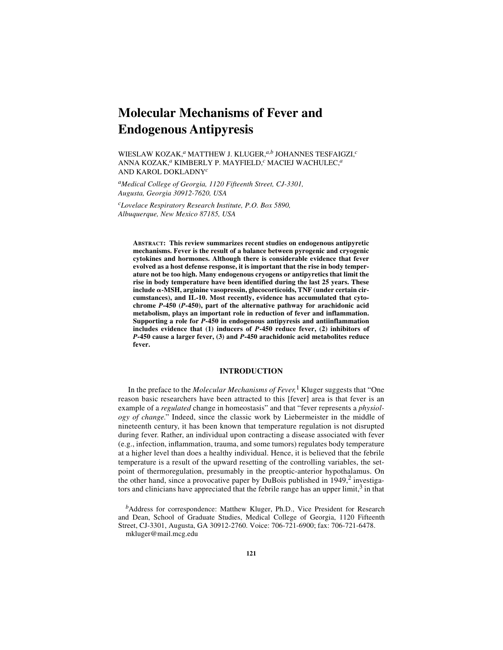# **Molecular Mechanisms of Fever and Endogenous Antipyresis**

WIESLAW KOZAK,*a* MATTHEW J. KLUGER,*a,b* JOHANNES TESFAIGZI,*<sup>c</sup>* ANNA KOZAK,*a* KIMBERLY P. MAYFIELD,*c* MACIEJ WACHULEC,*<sup>a</sup>* AND KAROL DOKLADNY*<sup>c</sup>*

*aMedical College of Georgia, 1120 Fifteenth Street, CJ-3301, Augusta, Georgia 30912-7620, USA*

*cLovelace Respiratory Research Institute, P.O. Box 5890, Albuquerque, New Mexico 87185, USA*

**ABSTRACT: This review summarizes recent studies on endogenous antipyretic mechanisms. Fever is the result of a balance between pyrogenic and cryogenic cytokines and hormones. Although there is considerable evidence that fever evolved as a host defense response, it is important that the rise in body temperature not be too high. Many endogenous cryogens or antipyretics that limit the rise in body temperature have been identified during the last 25 years. These** include α-MSH, arginine vasopressin, glucocorticoids, TNF (under certain cir**cumstances), and IL-10. Most recently, evidence has accumulated that cytochrome** *P***-450 (***P***-450), part of the alternative pathway for arachidonic acid metabolism, plays an important role in reduction of fever and inflammation. Supporting a role for** *P***-450 in endogenous antipyresis and antiinflammation includes evidence that (1) inducers of** *P***-450 reduce fever, (2) inhibitors of** *P***-450 cause a larger fever, (3) and** *P***-450 arachidonic acid metabolites reduce fever.**

## **INTRODUCTION**

In the preface to the *Molecular Mechanisms of Fever,*1 Kluger suggests that "One reason basic researchers have been attracted to this [fever] area is that fever is an example of a *regulated* change in homeostasis" and that "fever represents a *physiology of change.*" Indeed, since the classic work by Liebermeister in the middle of nineteenth century, it has been known that temperature regulation is not disrupted during fever. Rather, an individual upon contracting a disease associated with fever (e.g., infection, inflammation, trauma, and some tumors) regulates body temperature at a higher level than does a healthy individual. Hence, it is believed that the febrile temperature is a result of the upward resetting of the controlling variables, the setpoint of thermoregulation, presumably in the preoptic-anterior hypothalamus. On the other hand, since a provocative paper by DuBois published in  $1949<sup>2</sup>$  investigators and clinicians have appreciated that the febrile range has an upper limit, $3$  in that

*<sup>b</sup>*Address for correspondence: Matthew Kluger, Ph.D., Vice President for Research and Dean, School of Graduate Studies, Medical College of Georgia, 1120 Fifteenth Street, CJ-3301, Augusta, GA 30912-2760. Voice: 706-721-6900; fax: 706-721-6478. mkluger@mail.mcg.edu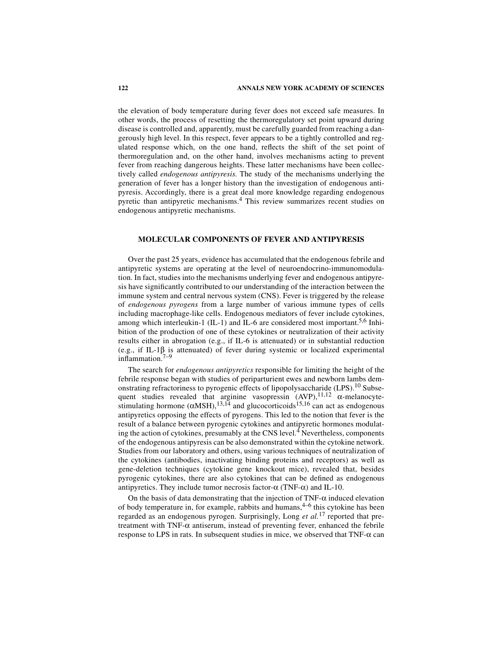the elevation of body temperature during fever does not exceed safe measures. In other words, the process of resetting the thermoregulatory set point upward during disease is controlled and, apparently, must be carefully guarded from reaching a dangerously high level. In this respect, fever appears to be a tightly controlled and regulated response which, on the one hand, reflects the shift of the set point of thermoregulation and, on the other hand, involves mechanisms acting to prevent fever from reaching dangerous heights. These latter mechanisms have been collectively called *endogenous antipyresis.* The study of the mechanisms underlying the generation of fever has a longer history than the investigation of endogenous antipyresis. Accordingly, there is a great deal more knowledge regarding endogenous pyretic than antipyretic mechanisms.4 This review summarizes recent studies on endogenous antipyretic mechanisms.

## **MOLECULAR COMPONENTS OF FEVER AND ANTIPYRESIS**

Over the past 25 years, evidence has accumulated that the endogenous febrile and antipyretic systems are operating at the level of neuroendocrino-immunomodulation. In fact, studies into the mechanisms underlying fever and endogenous antipyresis have significantly contributed to our understanding of the interaction between the immune system and central nervous system (CNS). Fever is triggered by the release of *endogenous pyrogens* from a large number of various immune types of cells including macrophage-like cells. Endogenous mediators of fever include cytokines, among which interleukin-1 (IL-1) and IL-6 are considered most important.<sup>5,6</sup> Inhibition of the production of one of these cytokines or neutralization of their activity results either in abrogation (e.g., if IL-6 is attenuated) or in substantial reduction (e.g., if IL-1 $\beta$  is attenuated) of fever during systemic or localized experimental inflammation.7–9

The search for *endogenous antipyretics* responsible for limiting the height of the febrile response began with studies of periparturient ewes and newborn lambs demonstrating refractoriness to pyrogenic effects of lipopolysaccharide (LPS).<sup>10</sup> Subsequent studies revealed that arginine vasopressin  $(AVP)$ ,  $^{11,12}$   $\alpha$ -melanocytestimulating hormone  $(\alpha MSH)$ ,  $^{13,14}$  and glucocorticoids  $^{15,16}$  can act as endogenous antipyretics opposing the effects of pyrogens. This led to the notion that fever is the result of a balance between pyrogenic cytokines and antipyretic hormones modulating the action of cytokines, presumably at the CNS level.<sup>4</sup> Nevertheless, components of the endogenous antipyresis can be also demonstrated within the cytokine network. Studies from our laboratory and others, using various techniques of neutralization of the cytokines (antibodies, inactivating binding proteins and receptors) as well as gene-deletion techniques (cytokine gene knockout mice), revealed that, besides pyrogenic cytokines, there are also cytokines that can be defined as endogenous antipyretics. They include tumor necrosis factor- $\alpha$  (TNF- $\alpha$ ) and IL-10.

On the basis of data demonstrating that the injection of  $TNF-\alpha$  induced elevation of body temperature in, for example, rabbits and humans,  $4-6$  this cytokine has been regarded as an endogenous pyrogen. Surprisingly, Long *et al.*17 reported that pretreatment with TNF-α antiserum, instead of preventing fever, enhanced the febrile response to LPS in rats. In subsequent studies in mice, we observed that TNF-α can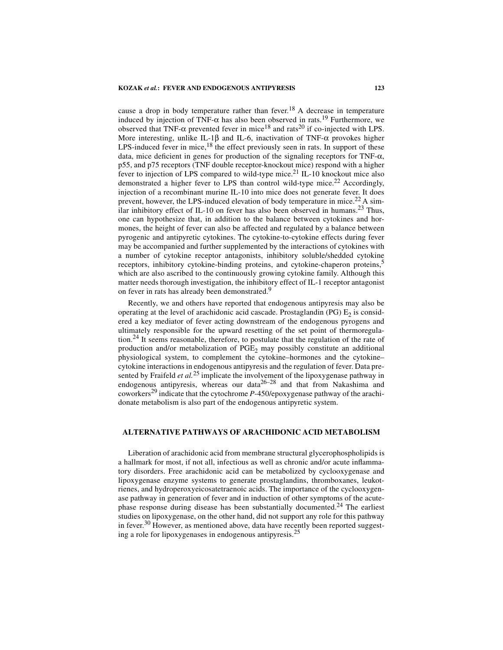cause a drop in body temperature rather than fever.<sup>18</sup> A decrease in temperature induced by injection of TNF- $\alpha$  has also been observed in rats.<sup>19</sup> Furthermore, we observed that TNF- $\alpha$  prevented fever in mice<sup>18</sup> and rats<sup>20</sup> if co-injected with LPS. More interesting, unlike IL-1 $\beta$  and IL-6, inactivation of TNF- $\alpha$  provokes higher LPS-induced fever in mice, $^{18}$  the effect previously seen in rats. In support of these data, mice deficient in genes for production of the signaling receptors for TNF- $\alpha$ , p55, and p75 receptors (TNF double receptor-knockout mice) respond with a higher fever to injection of LPS compared to wild-type mice.<sup>21</sup> IL-10 knockout mice also demonstrated a higher fever to LPS than control wild-type mice.<sup>22</sup> Accordingly, injection of a recombinant murine IL-10 into mice does not generate fever. It does prevent, however, the LPS-induced elevation of body temperature in mice.<sup>22</sup> A similar inhibitory effect of IL-10 on fever has also been observed in humans.<sup>23</sup> Thus, one can hypothesize that, in addition to the balance between cytokines and hormones, the height of fever can also be affected and regulated by a balance between pyrogenic and antipyretic cytokines. The cytokine-to-cytokine effects during fever may be accompanied and further supplemented by the interactions of cytokines with a number of cytokine receptor antagonists, inhibitory soluble/shedded cytokine receptors, inhibitory cytokine-binding proteins, and cytokine-chaperon proteins,5 which are also ascribed to the continuously growing cytokine family. Although this matter needs thorough investigation, the inhibitory effect of IL-1 receptor antagonist on fever in rats has already been demonstrated.<sup>9</sup>

Recently, we and others have reported that endogenous antipyresis may also be operating at the level of arachidonic acid cascade. Prostaglandin (PG)  $E_2$  is considered a key mediator of fever acting downstream of the endogenous pyrogens and ultimately responsible for the upward resetting of the set point of thermoregulation.<sup>24</sup> It seems reasonable, therefore, to postulate that the regulation of the rate of production and/or metabolization of  $PGE<sub>2</sub>$  may possibly constitute an additional physiological system, to complement the cytokine–hormones and the cytokine– cytokine interactions in endogenous antipyresis and the regulation of fever. Data presented by Fraifeld *et al.*25 implicate the involvement of the lipoxygenase pathway in endogenous antipyresis, whereas our data<sup>26-28</sup> and that from Nakashima and coworkers29 indicate that the cytochrome *P*-450/epoxygenase pathway of the arachidonate metabolism is also part of the endogenous antipyretic system.

## **ALTERNATIVE PATHWAYS OF ARACHIDONIC ACID METABOLISM**

Liberation of arachidonic acid from membrane structural glycerophospholipids is a hallmark for most, if not all, infectious as well as chronic and/or acute inflammatory disorders. Free arachidonic acid can be metabolized by cyclooxygenase and lipoxygenase enzyme systems to generate prostaglandins, thromboxanes, leukotrienes, and hydroperoxyeicosatetraenoic acids. The importance of the cyclooxygenase pathway in generation of fever and in induction of other symptoms of the acutephase response during disease has been substantially documented.<sup>24</sup> The earliest studies on lipoxygenase, on the other hand, did not support any role for this pathway in fever.<sup>30</sup> However, as mentioned above, data have recently been reported suggesting a role for lipoxygenases in endogenous antipyresis.<sup>25</sup>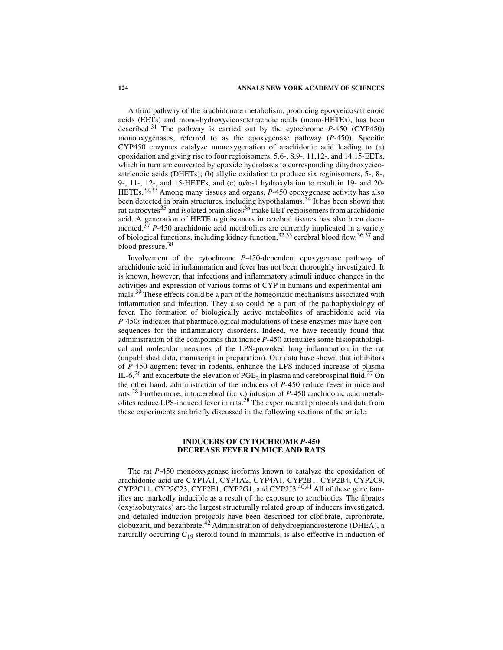#### **124 ANNALS NEW YORK ACADEMY OF SCIENCES**

A third pathway of the arachidonate metabolism, producing epoxyeicosatrienoic acids (EETs) and mono-hydroxyeicosatetraenoic acids (mono-HETEs), has been described.31 The pathway is carried out by the cytochrome *P*-450 (CYP450) monooxygenases, referred to as the epoxygenase pathway (*P*-450). Specific CYP450 enzymes catalyze monoxygenation of arachidonic acid leading to (a) epoxidation and giving rise to four regioisomers, 5,6-, 8,9-, 11,12-, and 14,15-EETs, which in turn are converted by epoxide hydrolases to corresponding dihydroxyeicosatrienoic acids (DHETs); (b) allylic oxidation to produce six regioisomers, 5-, 8-, 9-, 11-, 12-, and 15-HETEs, and (c) ω*/*ω-1 hydroxylation to result in 19- and 20- HETEs.<sup>32,33</sup> Among many tissues and organs, *P*-450 epoxygenase activity has also been detected in brain structures, including hypothalamus.<sup>34</sup> It has been shown that rat astrocytes<sup>35</sup> and isolated brain slices<sup>36</sup> make EET regioisomers from arachidonic acid. A generation of HETE regioisomers in cerebral tissues has also been documented.<sup>37</sup> *P*-450 arachidonic acid metabolites are currently implicated in a variety of biological functions, including kidney function,  $32,33$  cerebral blood flow,  $36,37$  and blood pressure.<sup>38</sup>

Involvement of the cytochrome *P*-450-dependent epoxygenase pathway of arachidonic acid in inflammation and fever has not been thoroughly investigated. It is known, however, that infections and inflammatory stimuli induce changes in the activities and expression of various forms of CYP in humans and experimental animals.<sup>39</sup> These effects could be a part of the homeostatic mechanisms associated with inflammation and infection. They also could be a part of the pathophysiology of fever. The formation of biologically active metabolites of arachidonic acid via *P*-450s indicates that pharmacological modulations of these enzymes may have consequences for the inflammatory disorders. Indeed, we have recently found that administration of the compounds that induce *P*-450 attenuates some histopathological and molecular measures of the LPS-provoked lung inflammation in the rat (unpublished data, manuscript in preparation). Our data have shown that inhibitors of *P*-450 augment fever in rodents, enhance the LPS-induced increase of plasma IL-6,<sup>26</sup> and exacerbate the elevation of PGE<sub>2</sub> in plasma and cerebrospinal fluid.<sup>27</sup> On the other hand, administration of the inducers of *P*-450 reduce fever in mice and rats.28 Furthermore, intracerebral (i.c.v.) infusion of *P*-450 arachidonic acid metabolites reduce LPS-induced fever in rats.28 The experimental protocols and data from these experiments are briefly discussed in the following sections of the article.

## **INDUCERS OF CYTOCHROME** *P***-450 DECREASE FEVER IN MICE AND RATS**

The rat *P*-450 monooxygenase isoforms known to catalyze the epoxidation of arachidonic acid are CYP1A1, CYP1A2, CYP4A1, CYP2B1, CYP2B4, CYP2C9, CYP2C11, CYP2C23, CYP2E1, CYP2G1, and CYP2J3.40,41 All of these gene families are markedly inducible as a result of the exposure to xenobiotics. The fibrates (oxyisobutyrates) are the largest structurally related group of inducers investigated, and detailed induction protocols have been described for clofibrate, ciprofibrate, clobuzarit, and bezafibrate.42 Administration of dehydroepiandrosterone (DHEA), a naturally occurring  $C_{19}$  steroid found in mammals, is also effective in induction of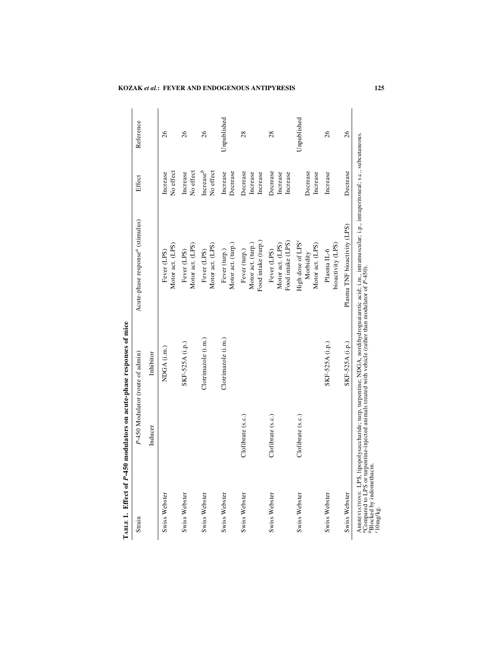| Strain        |                   | P-450 Modulator (route of admin) | Acute-phase response <sup>a</sup> (stimulus)                   | Effect                           | Reference   |
|---------------|-------------------|----------------------------------|----------------------------------------------------------------|----------------------------------|-------------|
|               | Inducer           | Inhibitor                        |                                                                |                                  |             |
| Swiss Webster |                   | NDGA (i.m.)                      | Motor act. (LPS)<br>Fever (LPS)                                | No effect<br>Increase            | 26          |
| Swiss Webster |                   | SKF-525A (i.p.)                  | Motor act. (LPS)<br>Fever (LPS)                                | No effect<br>Increase            | 26          |
| Swiss Webster |                   | Clotrimazole (i.m.)              | Motor act. (LPS)<br>Fever (LPS)                                | Increase $^b$<br>No effect       | 26          |
| Swiss Webster |                   | Clotrimazole (i.m.)              | Motor act. (turp.)<br>Fever (turp.)                            | Decrease<br>Increase             | Unpublished |
| Swiss Webster | Clofibrate (s.c.) |                                  | Food intake (turp.)<br>Motor act. (turp.)<br>Fever (turp.)     | Decrease<br>Increase<br>Increase | 28          |
| Swiss Webster | Clofibrate (s.c.) |                                  | Food intake (LPS)<br>Motor act. (LPS)<br>Fever (LPS)           | Decrease<br>Increase<br>Increase | 28          |
| Swiss Webster | Clofibrate (s.c.) |                                  | High dose of LPS <sup>c</sup><br>Motor act. (LPS)<br>Morbidity | Decrease<br>Increase             | Unpublished |
| Swiss Webster |                   | SKF-525A (i.p.)                  | bioactivity (LPS)<br>Plasma <sub>IL-6</sub>                    | Increase                         | 26          |
| Swiss Webster |                   | SKF-525A (i.p.)                  | Plasma TNF bioactivity (LPS)                                   | Decrease                         | 26          |

## **KOZAK** *et al.***: FEVER AND ENDOGENOUS ANTIPYRESIS 125**

*b*Blocked by indomethacin.

*c* 10mg/kg.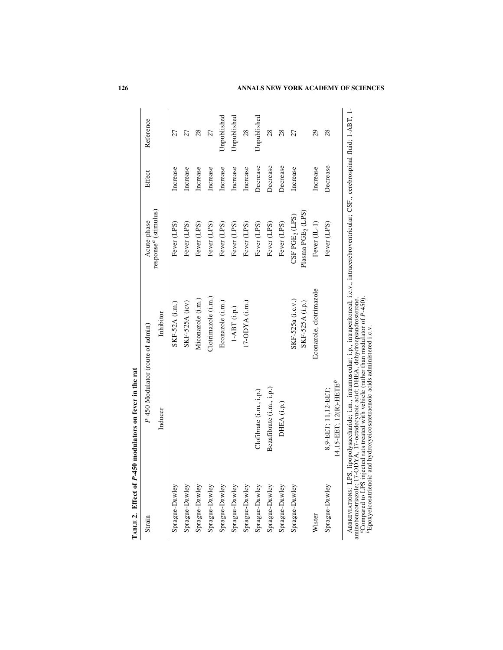| Strain                                                                                    | P-450 Modulator (route of admin)                                                                                                                                                                               |                                                                                                                                         | Acute-phase                                                      | Effect   | Reference   |
|-------------------------------------------------------------------------------------------|----------------------------------------------------------------------------------------------------------------------------------------------------------------------------------------------------------------|-----------------------------------------------------------------------------------------------------------------------------------------|------------------------------------------------------------------|----------|-------------|
|                                                                                           | Inducer                                                                                                                                                                                                        | Inhibitor                                                                                                                               | response <sup>a</sup> (stimulus)                                 |          |             |
| Sprague-Dawley                                                                            |                                                                                                                                                                                                                | SKF-52A (i.m.)                                                                                                                          | Fever (LPS)                                                      | Increase | 27          |
| Sprague-Dawley                                                                            |                                                                                                                                                                                                                | SKF-525A (icv)                                                                                                                          | Fever (LPS)                                                      | Increase | 27          |
| Sprague-Dawley                                                                            |                                                                                                                                                                                                                | Miconazole (i.m.)                                                                                                                       | Fever (LPS)                                                      | Increase | 28          |
| Sprague-Dawley                                                                            |                                                                                                                                                                                                                | Clotrimazole (i.m.)                                                                                                                     | Fever (LPS)                                                      | Increase | 27          |
| Sprague-Dawley                                                                            |                                                                                                                                                                                                                | Econazole (i.m.)                                                                                                                        | Fever (LPS)                                                      | Increase | Unpublished |
| Sprague-Dawley                                                                            |                                                                                                                                                                                                                | $1-\mathbf{A}\mathbf{B}\mathbf{T}$ (i.p.)                                                                                               | Fever (LPS)                                                      | Increase | Unpublished |
| Sprague-Dawley                                                                            |                                                                                                                                                                                                                | 17-ODYA (i.m.)                                                                                                                          | Fever (LPS)                                                      | Increase | $^{28}$     |
| Sprague-Dawley                                                                            | Clofibrate (i.m., i.p.)                                                                                                                                                                                        |                                                                                                                                         | Fever (LPS)                                                      | Decrease | Unpublished |
| Sprague-Dawley                                                                            | Bezafibrate (i.m., i.p.)                                                                                                                                                                                       |                                                                                                                                         | Fever (LPS)                                                      | Decrease | 28          |
| Sprague-Dawley                                                                            | DHEA (i.p.)                                                                                                                                                                                                    |                                                                                                                                         | Fever (LPS)                                                      | Decrease | 28          |
| Sprague-Dawley                                                                            |                                                                                                                                                                                                                | SKF-525a (i.c.v.)<br>SKF-525A (i.p.)                                                                                                    | Plasma PGE2 (LPS)<br>$\text{CSF}\, \text{PGE}_2 \, (\text{LPS})$ | Increase | 27          |
| Wister                                                                                    |                                                                                                                                                                                                                | Econazole, clotrimazole                                                                                                                 | Fever (IL-1)                                                     | Increase | 29          |
| Sprague-Dawley                                                                            | $14, 15$ -EET; $12(R)$ -HETE <sup>b</sup><br>$8,9 - EET$ ; 11, 12- $EET$ ;                                                                                                                                     |                                                                                                                                         | Fever (LPS)                                                      | Decrease | 28          |
| ABBREVIATIONS: LPS<br><sup>a</sup> Compared to LPS inj<br>${}^b{\rm Epo}$ veicosatrienoic | ected rats treated with vehicle (rather than modulator of P-450).<br>aminobenzotriazole; 17-ODYA, 17-octadecynoic acid; DHEA, dehydroepiandrosterone.<br>and hydroxyeicosatetraenoic acids administered i.c.v. | , lipopolysaccharide; i.m., intramuscular; i.p., intraperitoneal; i.c.v., intracerebroventricular; CSF., cerebrospinal fluid; 1-ABT, 1- |                                                                  |          |             |

TABLE 2. Effect of P-450 modulators on fever in the rat *P***-450 modulators on fever in the rat TABLE 2. Effect of**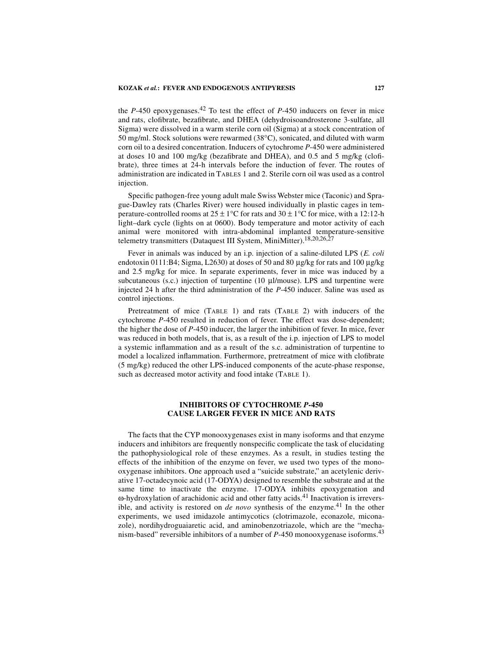the *P*-450 epoxygenases.<sup>42</sup> To test the effect of *P*-450 inducers on fever in mice and rats, clofibrate, bezafibrate, and DHEA (dehydroisoandrosterone 3-sulfate, all Sigma) were dissolved in a warm sterile corn oil (Sigma) at a stock concentration of 50 mg/ml. Stock solutions were rewarmed (38°C), sonicated, and diluted with warm corn oil to a desired concentration. Inducers of cytochrome *P*-450 were administered at doses 10 and 100 mg/kg (bezafibrate and DHEA), and 0.5 and 5 mg/kg (clofibrate), three times at 24-h intervals before the induction of fever. The routes of administration are indicated in TABLES 1 and 2. Sterile corn oil was used as a control injection.

Specific pathogen-free young adult male Swiss Webster mice (Taconic) and Sprague-Dawley rats (Charles River) were housed individually in plastic cages in temperature-controlled rooms at  $25 \pm 1^{\circ}$ C for rats and  $30 \pm 1^{\circ}$ C for mice, with a 12:12-h light–dark cycle (lights on at 0600). Body temperature and motor activity of each animal were monitored with intra-abdominal implanted temperature-sensitive telemetry transmitters (Dataquest III System, MiniMitter).<sup>18,20,26,27</sup>

Fever in animals was induced by an i.p. injection of a saline-diluted LPS (*E. coli* endotoxin 0111:B4; Sigma, L2630) at doses of 50 and 80 µg/kg for rats and 100 µg/kg and 2.5 mg/kg for mice. In separate experiments, fever in mice was induced by a subcutaneous (s.c.) injection of turpentine (10 µl/mouse). LPS and turpentine were injected 24 h after the third administration of the *P*-450 inducer. Saline was used as control injections.

Pretreatment of mice (TABLE 1) and rats (TABLE 2) with inducers of the cytochrome *P*-450 resulted in reduction of fever. The effect was dose-dependent; the higher the dose of *P*-450 inducer, the larger the inhibition of fever. In mice, fever was reduced in both models, that is, as a result of the i.p. injection of LPS to model a systemic inflammation and as a result of the s.c. administration of turpentine to model a localized inflammation. Furthermore, pretreatment of mice with clofibrate (5 mg/kg) reduced the other LPS-induced components of the acute-phase response, such as decreased motor activity and food intake (TABLE 1).

## **INHIBITORS OF CYTOCHROME** *P***-450 CAUSE LARGER FEVER IN MICE AND RATS**

The facts that the CYP monooxygenases exist in many isoforms and that enzyme inducers and inhibitors are frequently nonspecific complicate the task of elucidating the pathophysiological role of these enzymes. As a result, in studies testing the effects of the inhibition of the enzyme on fever, we used two types of the monooxygenase inhibitors. One approach used a "suicide substrate," an acetylenic derivative 17-octadecynoic acid (17-ODYA) designed to resemble the substrate and at the same time to inactivate the enzyme. 17-ODYA inhibits epoxygenation and ω-hydroxylation of arachidonic acid and other fatty acids.41 Inactivation is irreversible, and activity is restored on *de novo* synthesis of the enzyme.<sup>41</sup> In the other experiments, we used imidazole antimycotics (clotrimazole, econazole, miconazole), nordihydroguaiaretic acid, and aminobenzotriazole, which are the "mechanism-based" reversible inhibitors of a number of *P*-450 monooxygenase isoforms.<sup>43</sup>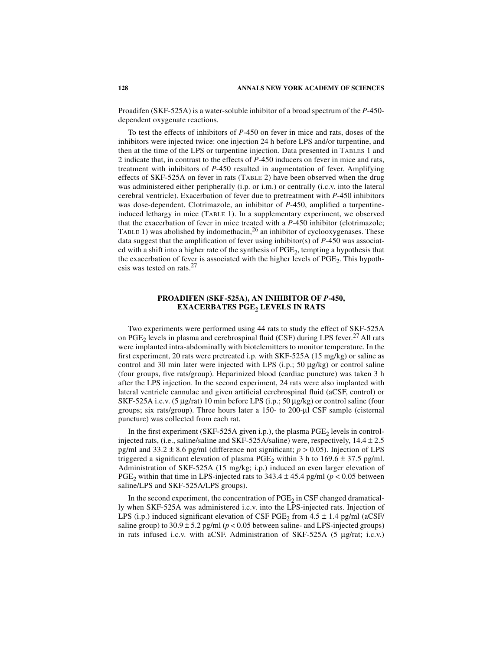Proadifen (SKF-525A) is a water-soluble inhibitor of a broad spectrum of the *P*-450 dependent oxygenate reactions.

To test the effects of inhibitors of *P*-450 on fever in mice and rats, doses of the inhibitors were injected twice: one injection 24 h before LPS and/or turpentine, and then at the time of the LPS or turpentine injection. Data presented in TABLES 1 and 2 indicate that, in contrast to the effects of *P*-450 inducers on fever in mice and rats, treatment with inhibitors of *P*-450 resulted in augmentation of fever. Amplifying effects of SKF-525A on fever in rats (TABLE 2) have been observed when the drug was administered either peripherally (i.p. or i.m.) or centrally (i.c.v. into the lateral cerebral ventricle). Exacerbation of fever due to pretreatment with *P*-450 inhibitors was dose-dependent. Clotrimazole, an inhibitor of *P*-450, amplified a turpentineinduced lethargy in mice (TABLE 1). In a supplementary experiment, we observed that the exacerbation of fever in mice treated with a *P*-450 inhibitor (clotrimazole; TABLE 1) was abolished by indomethacin,<sup>26</sup> an inhibitor of cyclooxygenases. These data suggest that the amplification of fever using inhibitor(s) of *P*-450 was associated with a shift into a higher rate of the synthesis of  $PGE<sub>2</sub>$ , tempting a hypothesis that the exacerbation of fever is associated with the higher levels of  $PGE<sub>2</sub>$ . This hypothesis was tested on rats.<sup>27</sup>

## **PROADIFEN (SKF-525A), AN INHIBITOR OF** *P***-450, EXACERBATES PGE<sub>2</sub> LEVELS IN RATS**

Two experiments were performed using 44 rats to study the effect of SKF-525A on PGE<sub>2</sub> levels in plasma and cerebrospinal fluid (CSF) during LPS fever.<sup>27</sup> All rats were implanted intra-abdominally with biotelemitters to monitor temperature. In the first experiment, 20 rats were pretreated i.p. with SKF-525A (15 mg/kg) or saline as control and 30 min later were injected with LPS (i.p.; 50 µg/kg) or control saline (four groups, five rats/group). Heparinized blood (cardiac puncture) was taken 3 h after the LPS injection. In the second experiment, 24 rats were also implanted with lateral ventricle cannulae and given artificial cerebrospinal fluid (aCSF, control) or SKF-525A i.c.v. (5 µg/rat) 10 min before LPS (i.p.; 50 µg/kg) or control saline (four groups; six rats/group). Three hours later a 150- to 200-µl CSF sample (cisternal puncture) was collected from each rat.

In the first experiment (SKF-525A given i.p.), the plasma  $PGE<sub>2</sub>$  levels in controlinjected rats, (i.e., saline/saline and SKF-525A/saline) were, respectively, 14.4 ± 2.5 pg/ml and 33.2 ± 8.6 pg/ml (difference not significant; *p* > 0.05). Injection of LPS triggered a significant elevation of plasma PGE<sub>2</sub> within 3 h to  $169.6 \pm 37.5$  pg/ml. Administration of SKF-525A (15 mg/kg; i.p.) induced an even larger elevation of PGE<sub>2</sub> within that time in LPS-injected rats to  $343.4 \pm 45.4$  pg/ml ( $p < 0.05$  between saline/LPS and SKF-525A/LPS groups).

In the second experiment, the concentration of  $PGE<sub>2</sub>$  in CSF changed dramatically when SKF-525A was administered i.c.v. into the LPS-injected rats. Injection of LPS (i.p.) induced significant elevation of CSF PGE<sub>2</sub> from  $4.5 \pm 1.4$  pg/ml (aCSF/ saline group) to  $30.9 \pm 5.2$  pg/ml ( $p < 0.05$  between saline- and LPS-injected groups) in rats infused i.c.v. with aCSF. Administration of SKF-525A (5 µg/rat; i.c.v.)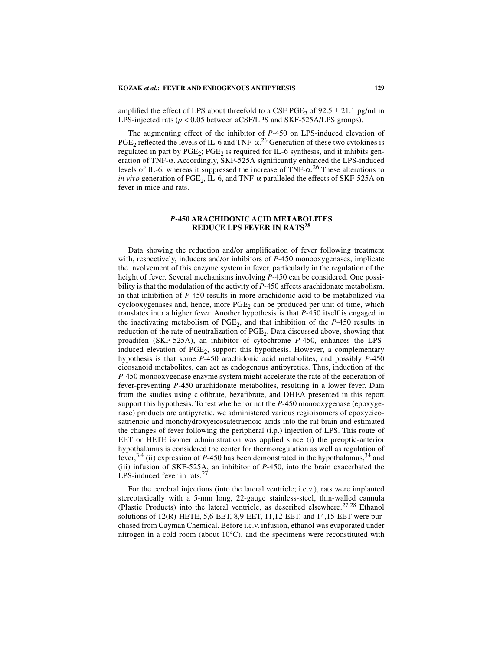amplified the effect of LPS about threefold to a CSF PGE<sub>2</sub> of  $92.5 \pm 21.1$  pg/ml in LPS-injected rats ( $p < 0.05$  between aCSF/LPS and SKF-525A/LPS groups).

The augmenting effect of the inhibitor of *P*-450 on LPS-induced elevation of  $PGE_2$  reflected the levels of IL-6 and TNF- $\alpha$ <sup>26</sup> Generation of these two cytokines is regulated in part by  $PGE_2$ ;  $PGE_2$  is required for IL-6 synthesis, and it inhibits generation of TNF-α. Accordingly, SKF-525A significantly enhanced the LPS-induced levels of IL-6, whereas it suppressed the increase of TNF- $\alpha$ <sup>26</sup> These alterations to *in vivo* generation of PGE<sub>2</sub>, IL-6, and TNF- $\alpha$  paralleled the effects of SKF-525A on fever in mice and rats.

## *P***-450 ARACHIDONIC ACID METABOLITES REDUCE LPS FEVER IN RATS<sup>28</sup>**

Data showing the reduction and/or amplification of fever following treatment with, respectively, inducers and/or inhibitors of *P*-450 monooxygenases, implicate the involvement of this enzyme system in fever, particularly in the regulation of the height of fever. Several mechanisms involving *P*-450 can be considered. One possibility is that the modulation of the activity of *P*-450 affects arachidonate metabolism, in that inhibition of *P*-450 results in more arachidonic acid to be metabolized via cyclooxygenases and, hence, more  $PGE<sub>2</sub>$  can be produced per unit of time, which translates into a higher fever. Another hypothesis is that *P*-450 itself is engaged in the inactivating metabolism of  $PGE_2$ , and that inhibition of the  $P-450$  results in reduction of the rate of neutralization of  $PGE<sub>2</sub>$ . Data discussed above, showing that proadifen (SKF-525A), an inhibitor of cytochrome *P*-450, enhances the LPSinduced elevation of PGE<sub>2</sub>, support this hypothesis. However, a complementary hypothesis is that some *P*-450 arachidonic acid metabolites, and possibly *P*-450 eicosanoid metabolites, can act as endogenous antipyretics. Thus, induction of the *P*-450 monooxygenase enzyme system might accelerate the rate of the generation of fever-preventing *P*-450 arachidonate metabolites, resulting in a lower fever. Data from the studies using clofibrate, bezafibrate, and DHEA presented in this report support this hypothesis. To test whether or not the *P*-450 monooxygenase (epoxygenase) products are antipyretic, we administered various regioisomers of epoxyeicosatrienoic and monohydroxyeicosatetraenoic acids into the rat brain and estimated the changes of fever following the peripheral (i.p.) injection of LPS. This route of EET or HETE isomer administration was applied since (i) the preoptic-anterior hypothalamus is considered the center for thermoregulation as well as regulation of fever,<sup>3,4</sup> (ii) expression of *P*-450 has been demonstrated in the hypothalamus,<sup>34</sup> and (iii) infusion of SKF-525A, an inhibitor of *P*-450, into the brain exacerbated the LPS-induced fever in rats.<sup>27</sup>

For the cerebral injections (into the lateral ventricle; i.c.v.), rats were implanted stereotaxically with a 5-mm long, 22-gauge stainless-steel, thin-walled cannula (Plastic Products) into the lateral ventricle, as described elsewhere.<sup>27,28</sup> Ethanol solutions of 12(R)-HETE, 5,6-EET, 8,9-EET, 11,12-EET, and 14,15-EET were purchased from Cayman Chemical. Before i.c.v. infusion, ethanol was evaporated under nitrogen in a cold room (about  $10^{\circ}$ C), and the specimens were reconstituted with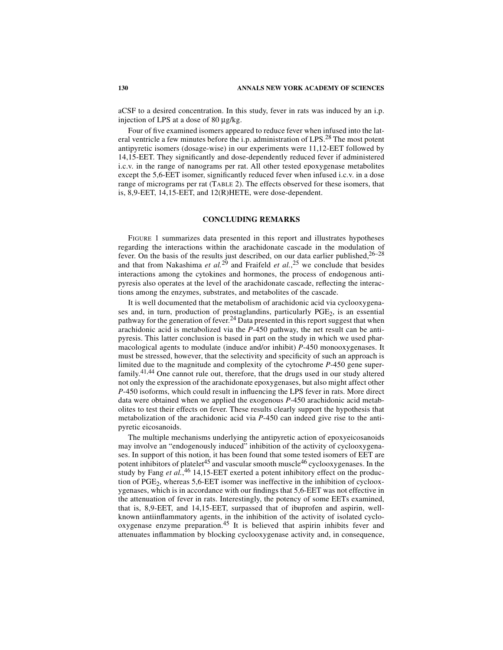aCSF to a desired concentration. In this study, fever in rats was induced by an i.p. injection of LPS at a dose of 80 µg/kg.

Four of five examined isomers appeared to reduce fever when infused into the lateral ventricle a few minutes before the i.p. administration of LPS.28 The most potent antipyretic isomers (dosage-wise) in our experiments were 11,12-EET followed by 14,15-EET. They significantly and dose-dependently reduced fever if administered i.c.v. in the range of nanograms per rat. All other tested epoxygenase metabolites except the 5,6-EET isomer, significantly reduced fever when infused i.c.v. in a dose range of micrograms per rat (TABLE 2). The effects observed for these isomers, that is, 8,9-EET, 14,15-EET, and 12(R)HETE, were dose-dependent.

### **CONCLUDING REMARKS**

FIGURE 1 summarizes data presented in this report and illustrates hypotheses regarding the interactions within the arachidonate cascade in the modulation of fever. On the basis of the results just described, on our data earlier published,  $26-28$ and that from Nakashima *et al.*<sup>29</sup> and Fraifeld *et al.*,<sup>25</sup> we conclude that besides interactions among the cytokines and hormones, the process of endogenous antipyresis also operates at the level of the arachidonate cascade, reflecting the interactions among the enzymes, substrates, and metabolites of the cascade.

It is well documented that the metabolism of arachidonic acid via cyclooxygenases and, in turn, production of prostaglandins, particularly  $PGE<sub>2</sub>$ , is an essential pathway for the generation of fever.<sup>24</sup> Data presented in this report suggest that when arachidonic acid is metabolized via the *P*-450 pathway, the net result can be antipyresis. This latter conclusion is based in part on the study in which we used pharmacological agents to modulate (induce and/or inhibit) *P*-450 monooxygenases. It must be stressed, however, that the selectivity and specificity of such an approach is limited due to the magnitude and complexity of the cytochrome *P*-450 gene superfamily.41,44 One cannot rule out, therefore, that the drugs used in our study altered not only the expression of the arachidonate epoxygenases, but also might affect other *P*-450 isoforms, which could result in influencing the LPS fever in rats. More direct data were obtained when we applied the exogenous *P*-450 arachidonic acid metabolites to test their effects on fever. These results clearly support the hypothesis that metabolization of the arachidonic acid via *P*-450 can indeed give rise to the antipyretic eicosanoids.

The multiple mechanisms underlying the antipyretic action of epoxyeicosanoids may involve an "endogenously induced" inhibition of the activity of cyclooxygenases. In support of this notion, it has been found that some tested isomers of EET are potent inhibitors of platelet<sup>45</sup> and vascular smooth muscle<sup>46</sup> cyclooxygenases. In the study by Fang *et al.*, 46 14,15-EET exerted a potent inhibitory effect on the production of  $PGE<sub>2</sub>$ , whereas 5,6-EET isomer was ineffective in the inhibition of cyclooxygenases, which is in accordance with our findings that 5,6-EET was not effective in the attenuation of fever in rats. Interestingly, the potency of some EETs examined, that is, 8,9-EET, and 14,15-EET, surpassed that of ibuprofen and aspirin, wellknown antiinflammatory agents, in the inhibition of the activity of isolated cyclooxygenase enzyme preparation.45 It is believed that aspirin inhibits fever and attenuates inflammation by blocking cyclooxygenase activity and, in consequence,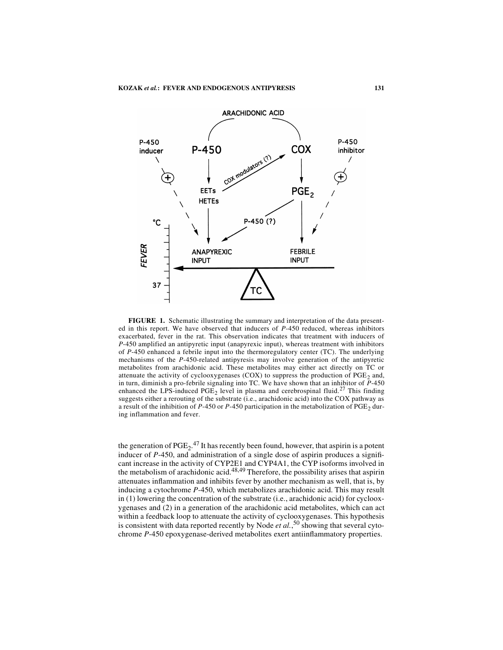

**FIGURE 1.** Schematic illustrating the summary and interpretation of the data presented in this report. We have observed that inducers of *P*-450 reduced, whereas inhibitors exacerbated, fever in the rat. This observation indicates that treatment with inducers of *P*-450 amplified an antipyretic input (anapyrexic input), whereas treatment with inhibitors of *P*-450 enhanced a febrile input into the thermoregulatory center (TC). The underlying mechanisms of the *P*-450-related antipyresis may involve generation of the antipyretic metabolites from arachidonic acid. These metabolites may either act directly on TC or attenuate the activity of cyclooxygenases (COX) to suppress the production of  $PGE<sub>2</sub>$  and, in turn, diminish a pro-febrile signaling into TC. We have shown that an inhibitor of *P*-450 enhanced the LPS-induced  $PGE_2$  level in plasma and cerebrospinal fluid.<sup>27</sup> This finding suggests either a rerouting of the substrate (i.e., arachidonic acid) into the COX pathway as a result of the inhibition of  $P-450$  or  $P-450$  participation in the metabolization of  $PGE<sub>2</sub>$  during inflammation and fever.

the generation of  $PGE_2$ .<sup>47</sup> It has recently been found, however, that aspirin is a potent inducer of *P*-450, and administration of a single dose of aspirin produces a significant increase in the activity of CYP2E1 and CYP4A1, the CYP isoforms involved in the metabolism of arachidonic acid.<sup>48,49</sup> Therefore, the possibility arises that aspirin attenuates inflammation and inhibits fever by another mechanism as well, that is, by inducing a cytochrome *P*-450, which metabolizes arachidonic acid. This may result in (1) lowering the concentration of the substrate (i.e., arachidonic acid) for cyclooxygenases and (2) in a generation of the arachidonic acid metabolites, which can act within a feedback loop to attenuate the activity of cyclooxygenases. This hypothesis is consistent with data reported recently by Node *et al.*, 50 showing that several cytochrome *P*-450 epoxygenase-derived metabolites exert antiinflammatory properties.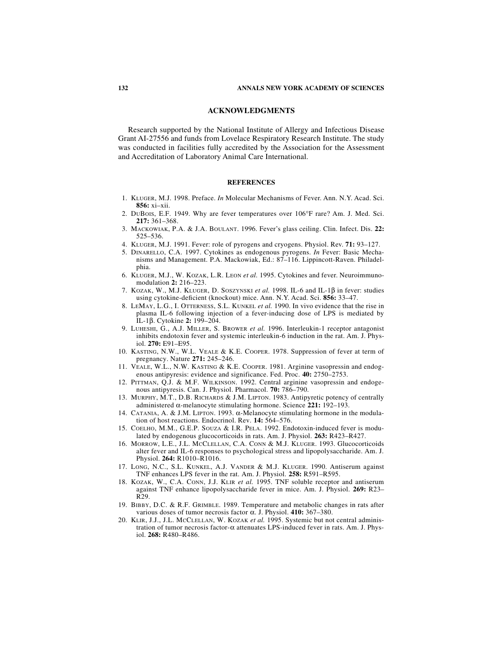#### **ACKNOWLEDGMENTS**

Research supported by the National Institute of Allergy and Infectious Disease Grant AI-27556 and funds from Lovelace Respiratory Research Institute. The study was conducted in facilities fully accredited by the Association for the Assessment and Accreditation of Laboratory Animal Care International.

#### **REFERENCES**

- 1. KLUGER, M.J. 1998. Preface. *In* Molecular Mechanisms of Fever. Ann. N.Y. Acad. Sci. **856:** xi–xii.
- 2. DUBOIS, E.F. 1949. Why are fever temperatures over 106°F rare? Am. J. Med. Sci. **217:** 361–368.
- 3. MACKOWIAK, P.A. & J.A. BOULANT. 1996. Fever's glass ceiling. Clin. Infect. Dis. **22:** 525–536.
- 4. KLUGER, M.J. 1991. Fever: role of pyrogens and cryogens. Physiol. Rev. **71:** 93–127.
- 5. DINARELLO, C.A. 1997. Cytokines as endogenous pyrogens. *In* Fever: Basic Mechanisms and Management. P.A. Mackowiak, Ed.: 87–116. Lippincott-Raven. Philadelphia.
- 6. KLUGER, M.J., W. KOZAK, L.R. LEON *et al.* 1995. Cytokines and fever. Neuroimmunomodulation **2:** 216–223.
- 7. KOZAK, W., M.J. KLUGER, D. SOSZYNSKI *et al.* 1998. IL-6 and IL-1β in fever: studies using cytokine-deficient (knockout) mice. Ann. N.Y. Acad. Sci. **856:** 33–47.
- 8. LEMAY, L.G., I. OTTERNESS, S.L. KUNKEL *et al.* 1990. In vivo evidence that the rise in plasma IL-6 following injection of a fever-inducing dose of LPS is mediated by IL-1β. Cytokine **2:** 199–204.
- 9. LUHESHI, G., A.J. MILLER, S. BROWER *et al.* 1996. Interleukin-1 receptor antagonist inhibits endotoxin fever and systemic interleukin-6 induction in the rat. Am. J. Physiol. **270:** E91–E95.
- 10. KASTING, N.W., W.L. VEALE & K.E. COOPER. 1978. Suppression of fever at term of pregnancy. Nature **271:** 245–246.
- 11. VEALE, W.L., N.W. KASTING & K.E. COOPER. 1981. Arginine vasopressin and endogenous antipyresis: evidence and significance. Fed. Proc. **40:** 2750–2753.
- 12. PITTMAN, Q.J. & M.F. WILKINSON. 1992. Central arginine vasopressin and endogenous antipyresis. Can. J. Physiol. Pharmacol. **70:** 786–790.
- 13. MURPHY, M.T., D.B. RICHARDS & J.M. LIPTON. 1983. Antipyretic potency of centrally administered α-melanocyte stimulating hormone. Science **221:** 192–193.
- 14. CATANIA, A. & J.M. LIPTON. 1993. α-Melanocyte stimulating hormone in the modulation of host reactions. Endocrinol. Rev. **14:** 564–576.
- 15. COELHO, M.M., G.E.P. SOUZA & I.R. PELA. 1992. Endotoxin-induced fever is modulated by endogenous glucocorticoids in rats. Am. J. Physiol. **263:** R423–R427.
- 16. MORROW, L.E., J.L. MCCLELLAN, C.A. CONN & M.J. KLUGER. 1993. Glucocorticoids alter fever and IL-6 responses to psychological stress and lipopolysaccharide. Am. J. Physiol. **264:** R1010–R1016.
- 17. LONG, N.C., S.L. KUNKEL, A.J. VANDER & M.J. KLUGER. 1990. Antiserum against TNF enhances LPS fever in the rat. Am. J. Physiol. **258:** R591–R595.
- 18. KOZAK, W., C.A. CONN, J.J. KLIR *et al.* 1995. TNF soluble receptor and antiserum against TNF enhance lipopolysaccharide fever in mice. Am. J. Physiol. **269:** R23– R29.
- 19. BIBBY, D.C. & R.F. GRIMBLE. 1989. Temperature and metabolic changes in rats after various doses of tumor necrosis factor α. J. Physiol. **410:** 367–380.
- 20. KLIR, J.J., J.L. MCCLELLAN, W. KOZAK *et al.* 1995. Systemic but not central administration of tumor necrosis factor-α attenuates LPS-induced fever in rats. Am. J. Physiol. **268:** R480–R486.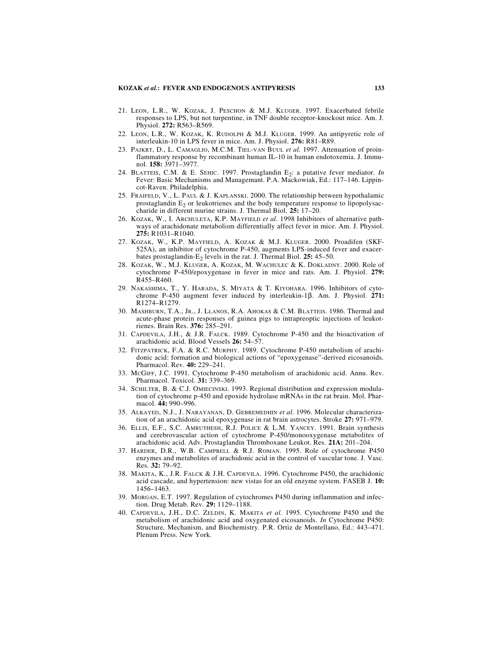- 21. LEON, L.R., W. KOZAK, J. PESCHON & M.J. KLUGER. 1997. Exacerbated febrile responses to LPS, but not turpentine, in TNF double receptor-knockout mice. Am. J. Physiol. **272:** R563–R569.
- 22. LEON, L.R., W. KOZAK, K. RUDOLPH & M.J. KLUGER. 1999. An antipyretic role of interleukin-10 in LPS fever in mice. Am. J. Physiol. **276:** R81–R89.
- 23. PAJKRT, D., L. CAMAGLIO, M.C.M. TIEL-VAN BUUL *et al.* 1997. Attenuation of proinflammatory response by recombinant human IL-10 in human endotoxemia. J. Immunol. **158:** 3971–3977.
- 24. BLATTEIS, C.M. & E. SEHIC. 1997. Prostaglandin E<sub>2</sub>: a putative fever mediator. *In* Fever: Basic Mechanisms and Managemant. P.A. Mackowiak, Ed.: 117–146. Lippincot-Raven. Philadelphia.
- 25. FRAIFELD, V., L. PAUL & J. KAPLANSKI. 2000. The relationship between hypothalamic prostaglandin  $E_2$  or leukotrienes and the body temperature response to lipopolysaccharide in different murine strains. J. Thermal Biol. **25:** 17–20.
- 26. KOZAK, W., I. ARCHULETA, K.P. MAYFIELD *et al.* 1998 Inhibitors of alternative pathways of arachidonate metabolism differentially affect fever in mice. Am. J. Physiol. **275:** R1031–R1040.
- 27. KOZAK, W., K.P. MAYFIELD, A. KOZAK & M.J. KLUGER. 2000. Proadifen (SKF-525A), an inhibitor of cytochrome P-450, augments LPS-induced fever and exacerbates prostaglandin-E2 levels in the rat. J. Thermal Biol. **25:** 45–50.
- 28. KOZAK, W., M.J. KLUGER, A. KOZAK, M. WACHULEC & K. DOKLADNY. 2000. Role of cytochrome P-450/epoxygenase in fever in mice and rats. Am. J. Physiol. **279:** R455–R460.
- 29. NAKASHIMA, T., Y. HARADA, S. MIYATA & T. KIYOHARA. 1996. Inhibitors of cytochrome P-450 augment fever induced by interleukin-1β. Am. J. Physiol. **271:** R1274–R1279.
- 30. MASHBURN, T.A., JR., J. LLANOS, R.A. AHOKAS & C.M. BLATTEIS. 1986. Thermal and acute-phase protein responses of guinea pigs to intrapreoptic injections of leukotrienes. Brain Res. **376:** 285–291.
- 31. CAPDEVILA, J.H., & J.R. FALCK. 1989. Cytochrome P-450 and the bioactivation of arachidonic acid. Blood Vessels **26:** 54–57.
- 32. FITZPATRICK, F.A. & R.C. MURPHY. 1989. Cytochrome P-450 metabolism of arachidonic acid: formation and biological actions of "epoxygenase"-derived eicosanoids. Pharmacol. Rev. **40:** 229–241.
- 33. MCGIFF, J.C. 1991. Cytochrome P-450 metabolism of arachidonic acid. Annu. Rev. Pharmacol. Toxicol. **31:** 339–369.
- 34. SCHILTER, B. & C.J. OMIECINSKI. 1993. Regional distribution and expression modulation of cytochrome p-450 and epoxide hydrolase mRNAs in the rat brain. Mol. Pharmacol. **44:** 990–996.
- 35. ALKAYED, N.J., J. NARAYANAN, D. GEBREMEDHIN *et al.* 1996. Molecular characterization of an arachidonic acid epoxygenase in rat brain astrocytes. Stroke **27:** 971–979.
- 36. ELLIS, E.F., S.C. AMRUTHESH, R.J. POLICE & L.M. YANCEY. 1991. Brain synthesis and cerebrovascular action of cytochrome P-450/monooxygenase metabolites of arachidonic acid. Adv. Prostaglandin Thromboxane Leukot. Res. **21A:** 201–204.
- 37. HARDER, D.R., W.B. CAMPBELL & R.J. ROMAN. 1995. Role of cytochrome P450 enzymes and metabolites of arachidonic acid in the control of vascular tone. J. Vasc. Res. **32:** 79–92.
- 38. MAKITA, K., J.R. FALCK & J.H. CAPDEVILA. 1996. Cytochrome P450, the arachidonic acid cascade, and hypertension: new vistas for an old enzyme system. FASEB J. **10:** 1456–1463.
- 39. MORGAN, E.T. 1997. Regulation of cytochromes P450 during inflammation and infection. Drug Metab. Rev. **29:** 1129–1188.
- 40. CAPDEVILA, J.H., D.C. ZELDIN, K. MAKITA *et al.* 1995. Cytochrome P450 and the metabolism of arachidonic acid and oxygenated eicosanoids. *In* Cytochrome P450: Structure*,* Mechanism, and Biochemistry*.* P.R. Ortiz de Montellano, Ed.: 443–471. Plenum Press. New York.